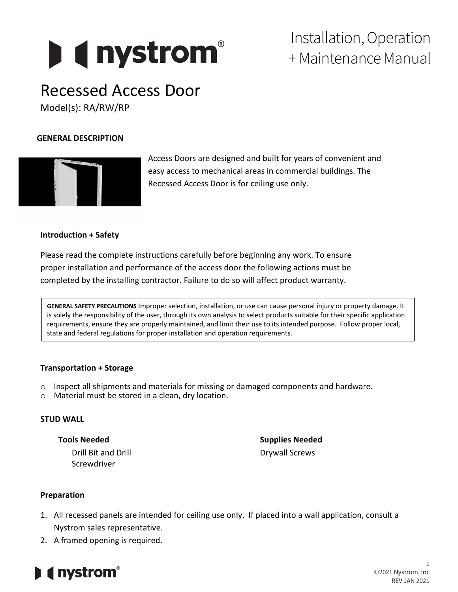# **D** ( nystrom<sup>®</sup>

Installation, Operation + Maintenance Manual

## Recessed Access Door

Model(s): RA/RW/RP

#### **GENERAL DESCRIPTION**

Access Doors are designed and built for years of convenient and easy access to mechanical areas in commercial buildings. The Recessed Access Door is for ceiling use only.

#### **Introduction + Safety**

Please read the complete instructions carefully before beginning any work. To ensure proper installation and performance of the access door the following actions must be completed by the installing contractor. Failure to do so will affect product warranty.

**GENERAL SAFETY PRECAUTIONS** Improper selection, installation, or use can cause personal injury or property damage. It is solely the responsibility of the user, through its own analysis to select products suitable for their specific application requirements, ensure they are properly maintained, and limit their use to its intended purpose. Follow proper local, state and federal regulations for proper installation and operation requirements.

#### **Transportation + Storage**

- $\circ$  Inspect all shipments and materials for missing or damaged components and hardware.
- o Material must be stored in a clean, dry location.

#### **STUD WALL**

| Tools Needed        | <b>Supplies Needed</b> |
|---------------------|------------------------|
| Drill Bit and Drill | Drywall Screws         |
| Screwdriver         |                        |

#### **Preparation**

- 1. All recessed panels are intended for ceiling use only. If placed into a wall application, consult a Nystrom sales representative.
- 2. A framed opening is required.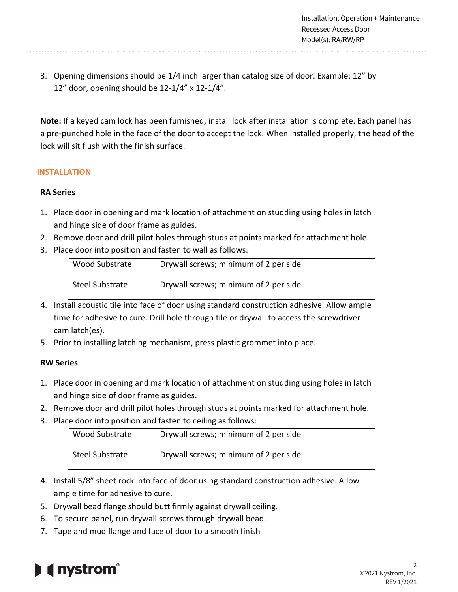3. Opening dimensions should be 1/4 inch larger than catalog size of door. Example: 12" by 12" door, opening should be 12-1/4" x 12-1/4".

**Note:** If a keyed cam lock has been furnished, install lock after installation is complete. Each panel has a pre-punched hole in the face of the door to accept the lock. When installed properly, the head of the lock will sit flush with the finish surface.

#### **INSTALLATION**

#### **RA Series**

- 1. Place door in opening and mark location of attachment on studding using holes in latch and hinge side of door frame as guides.
- 2. Remove door and drill pilot holes through studs at points marked for attachment hole.
- 3. Place door into position and fasten to wall as follows:

| Wood Substrate  | Drywall screws; minimum of 2 per side |
|-----------------|---------------------------------------|
| Steel Substrate | Drywall screws; minimum of 2 per side |

- 4. Install acoustic tile into face of door using standard construction adhesive. Allow ample time for adhesive to cure. Drill hole through tile or drywall to access the screwdriver cam latch(es).
- 5. Prior to installing latching mechanism, press plastic grommet into place.

#### **RW Series**

- 1. Place door in opening and mark location of attachment on studding using holes in latch and hinge side of door frame as guides.
- 2. Remove door and drill pilot holes through studs at points marked for attachment hole.
- 3. Place door into position and fasten to ceiling as follows:

| Wood Substrate  | Drywall screws; minimum of 2 per side |
|-----------------|---------------------------------------|
| Steel Substrate | Drywall screws; minimum of 2 per side |

- 4. Install 5/8" sheet rock into face of door using standard construction adhesive. Allow ample time for adhesive to cure.
- 5. Drywall bead flange should butt firmly against drywall ceiling.
- 6. To secure panel, run drywall screws through drywall bead.
- 7. Tape and mud flange and face of door to a smooth finish

### *<u>Inystrom*<sup>®</sup></u>